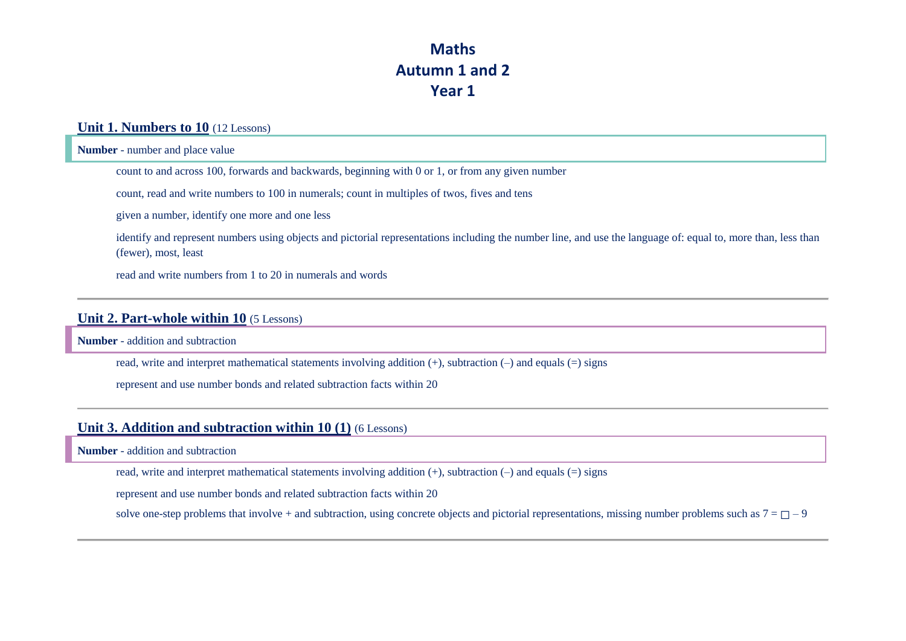# **Maths Autumn 1 and 2 Year 1**

### **Unit 1. Numbers to 10** (12 Lessons)

**Number** - number and place value

count to and across 100, forwards and backwards, beginning with 0 or 1, or from any given number

count, read and write numbers to 100 in numerals; count in multiples of twos, fives and tens

given a number, identify one more and one less

identify and represent numbers using objects and pictorial representations including the number line, and use the language of: equal to, more than, less than (fewer), most, least

read and write numbers from 1 to 20 in numerals and words

#### **Unit 2. Part-whole within 10** (5 Lessons)

**Number** - addition and subtraction

read, write and interpret mathematical statements involving addition (+), subtraction (–) and equals (=) signs

represent and use number bonds and related subtraction facts within 20

### **Unit 3. Addition and subtraction within 10 (1)** (6 Lessons)

**Number** - addition and subtraction

read, write and interpret mathematical statements involving addition (+), subtraction (–) and equals (=) signs

represent and use number bonds and related subtraction facts within 20

solve one-step problems that involve + and subtraction, using concrete objects and pictorial representations, missing number problems such as  $7 = \square - 9$